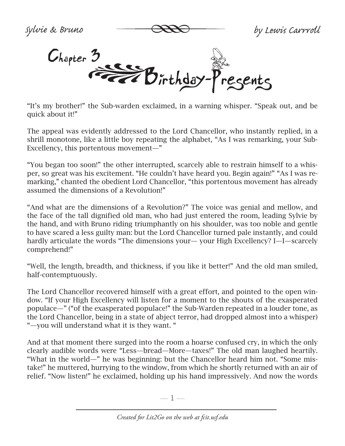*Sylvie & Bruno by Lewis Carrroll*



"It's my brother!" the Sub-warden exclaimed, in a warning whisper. "Speak out, and be quick about it!"

The appeal was evidently addressed to the Lord Chancellor, who instantly replied, in a shrill monotone, like a little boy repeating the alphabet, "As I was remarking, your Sub-Excellency, this portentous movement—"

"You began too soon!" the other interrupted, scarcely able to restrain himself to a whisper, so great was his excitement. "He couldn't have heard you. Begin again!" "As I was remarking," chanted the obedient Lord Chancellor, "this portentous movement has already assumed the dimensions of a Revolution!"

"And what are the dimensions of a Revolution?" The voice was genial and mellow, and the face of the tall dignified old man, who had just entered the room, leading Sylvie by the hand, and with Bruno riding triumphantly on his shoulder, was too noble and gentle to have scared a less guilty man: but the Lord Chancellor turned pale instantly, and could hardly articulate the words "The dimensions your— your High Excellency? I—I—scarcely comprehend!"

"Well, the length, breadth, and thickness, if you like it better!" And the old man smiled, half-contemptuously.

The Lord Chancellor recovered himself with a great effort, and pointed to the open window. "If your High Excellency will listen for a moment to the shouts of the exasperated populace—" ("of the exasperated populace!" the Sub-Warden repeated in a louder tone, as the Lord Chancellor, being in a state of abject terror, had dropped almost into a whisper) "—you will understand what it is they want. "

And at that moment there surged into the room a hoarse confused cry, in which the only clearly audible words were "Less—bread—More—taxes!" The old man laughed heartily. "What in the world—" he was beginning: but the Chancellor heard him not. "Some mistake!" he muttered, hurrying to the window, from which he shortly returned with an air of relief. "Now listen!" he exclaimed, holding up his hand impressively. And now the words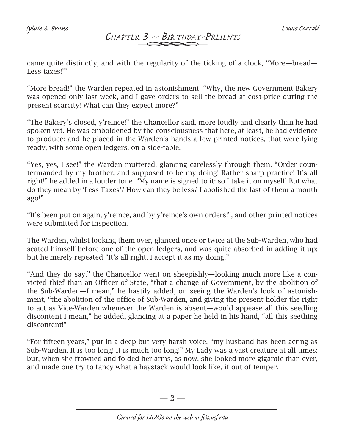*Sylvie & Bruno Lewis Carroll*

# *Chapter 3 -- Birthday-Presents*

came quite distinctly, and with the regularity of the ticking of a clock, "More—bread— Less taxes!'"

"More bread!" the Warden repeated in astonishment. "Why, the new Government Bakery was opened only last week, and I gave orders to sell the bread at cost-price during the present scarcity! What can they expect more?"

"The Bakery's closed, y'reince!" the Chancellor said, more loudly and clearly than he had spoken yet. He was emboldened by the consciousness that here, at least, he had evidence to produce: and he placed in the Warden's hands a few printed notices, that were lying ready, with some open ledgers, on a side-table.

"Yes, yes, I see!" the Warden muttered, glancing carelessly through them. "Order countermanded by my brother, and supposed to be my doing! Rather sharp practice! It's all right!" he added in a louder tone. "My name is signed to it: so I take it on myself. But what do they mean by 'Less Taxes'? How can they be less? I abolished the last of them a month ago!"

"It's been put on again, y'reince, and by y'reince's own orders!", and other printed notices were submitted for inspection.

The Warden, whilst looking them over, glanced once or twice at the Sub-Warden, who had seated himself before one of the open ledgers, and was quite absorbed in adding it up; but he merely repeated "It's all right. I accept it as my doing."

"And they do say," the Chancellor went on sheepishly—looking much more like a convicted thief than an Officer of State, "that a change of Government, by the abolition of the Sub-Warden—I mean," he hastily added, on seeing the Warden's look of astonishment, "the abolition of the office of Sub-Warden, and giving the present holder the right to act as Vice-Warden whenever the Warden is absent—would appease all this seedling discontent I mean," he added, glancing at a paper he held in his hand, "all this seething discontent!"

"For fifteen years," put in a deep but very harsh voice, "my husband has been acting as Sub-Warden. It is too long! It is much too long!" My Lady was a vast creature at all times: but, when she frowned and folded her arms, as now, she looked more gigantic than ever, and made one try to fancy what a haystack would look like, if out of temper.

 $-2-$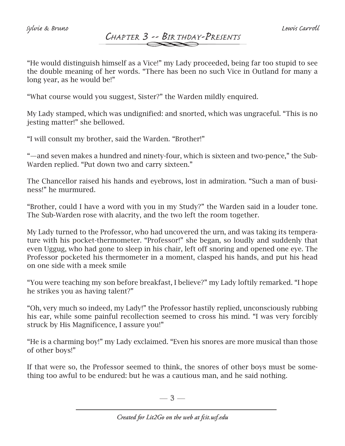### *Chapter 3 -- Birthday-Presents Sylvie & Bruno Lewis Carroll*

"He would distinguish himself as a Vice!" my Lady proceeded, being far too stupid to see the double meaning of her words. "There has been no such Vice in Outland for many a long year, as he would be!"

"What course would you suggest, Sister?" the Warden mildly enquired.

My Lady stamped, which was undignified: and snorted, which was ungraceful. "This is no jesting matter!" she bellowed.

"I will consult my brother, said the Warden. "Brother!"

"—and seven makes a hundred and ninety-four, which is sixteen and two-pence," the Sub-Warden replied. "Put down two and carry sixteen."

The Chancellor raised his hands and eyebrows, lost in admiration. "Such a man of business!" he murmured.

"Brother, could I have a word with you in my Study?" the Warden said in a louder tone. The Sub-Warden rose with alacrity, and the two left the room together.

My Lady turned to the Professor, who had uncovered the urn, and was taking its temperature with his pocket-thermometer. "Professor!" she began, so loudly and suddenly that even Uggug, who had gone to sleep in his chair, left off snoring and opened one eye. The Professor pocketed his thermometer in a moment, clasped his hands, and put his head on one side with a meek smile

"You were teaching my son before breakfast, I believe?" my Lady loftily remarked. "I hope he strikes you as having talent?"

"Oh, very much so indeed, my Lady!" the Professor hastily replied, unconsciously rubbing his ear, while some painful recollection seemed to cross his mind. "I was very forcibly struck by His Magnificence, I assure you!"

"He is a charming boy!" my Lady exclaimed. "Even his snores are more musical than those of other boys!"

If that were so, the Professor seemed to think, the snores of other boys must be something too awful to be endured: but he was a cautious man, and he said nothing.

 $-3-$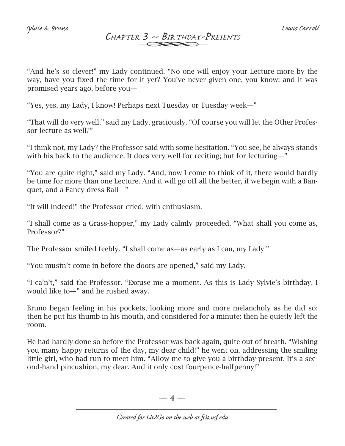### *Chapter 3 -- Birthday-Presents*

"And he's so clever!" my Lady continued. "No one will enjoy your Lecture more by the way, have you fixed the time for it yet? You've never given one, you know: and it was promised years ago, before you—

"Yes, yes, my Lady, I know! Perhaps next Tuesday or Tuesday week—"

"That will do very well," said my Lady, graciously. "Of course you will let the Other Professor lecture as well?"

"I think not, my Lady? the Professor said with some hesitation. "You see, he always stands with his back to the audience. It does very well for reciting; but for lecturing—"

"You are quite right," said my Lady. "And, now I come to think of it, there would hardly be time for more than one Lecture. And it will go off all the better, if we begin with a Banquet, and a Fancy-dress Ball—"

"It will indeed!" the Professor cried, with enthusiasm.

"I shall come as a Grass-hopper," my Lady calmly proceeded. "What shall you come as, Professor?"

The Professor smiled feebly. "I shall come as—as early as I can, my Lady!"

"You mustn't come in before the doors are opened," said my Lady.

"I ca'n't," said the Professor. "Excuse me a moment. As this is Lady Sylvie's birthday, I would like to—" and he rushed away.

Bruno began feeling in his pockets, looking more and more melancholy as he did so: then he put his thumb in his mouth, and considered for a minute: then he quietly left the room.

He had hardly done so before the Professor was back again, quite out of breath. "Wishing you many happy returns of the day, my dear child!" he went on, addressing the smiling little girl, who had run to meet him. "Allow me to give you a birthday-present. It's a second-hand pincushion, my dear. And it only cost fourpence-halfpenny!"

 $-4-$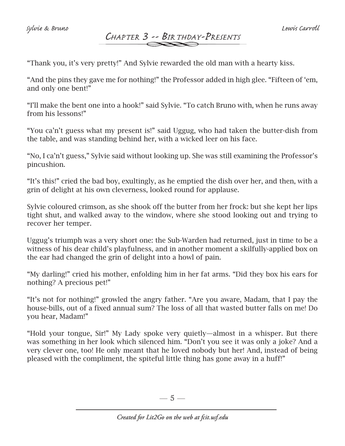# *Chapter 3 -- Birthday-Presents*

"Thank you, it's very pretty!" And Sylvie rewarded the old man with a hearty kiss.

"And the pins they gave me for nothing!" the Professor added in high glee. "Fifteen of 'em, and only one bent!"

"I'll make the bent one into a hook!" said Sylvie. "To catch Bruno with, when he runs away from his lessons!"

"You ca'n't guess what my present is!" said Uggug, who had taken the butter-dish from the table, and was standing behind her, with a wicked leer on his face.

"No, I ca'n't guess," Sylvie said without looking up. She was still examining the Professor's pincushion.

"It's this!" cried the bad boy, exultingly, as he emptied the dish over her, and then, with a grin of delight at his own cleverness, looked round for applause.

Sylvie coloured crimson, as she shook off the butter from her frock: but she kept her lips tight shut, and walked away to the window, where she stood looking out and trying to recover her temper.

Uggug's triumph was a very short one: the Sub-Warden had returned, just in time to be a witness of his dear child's playfulness, and in another moment a skilfully-applied box on the ear had changed the grin of delight into a howl of pain.

"My darling!" cried his mother, enfolding him in her fat arms. "Did they box his ears for nothing? A precious pet!"

"It's not for nothing!" growled the angry father. "Are you aware, Madam, that I pay the house-bills, out of a fixed annual sum? The loss of all that wasted butter falls on me! Do you hear, Madam!"

"Hold your tongue, Sir!" My Lady spoke very quietly—almost in a whisper. But there was something in her look which silenced him. "Don't you see it was only a joke? And a very clever one, too! He only meant that he loved nobody but her! And, instead of being pleased with the compliment, the spiteful little thing has gone away in a huff!"

 $-5-$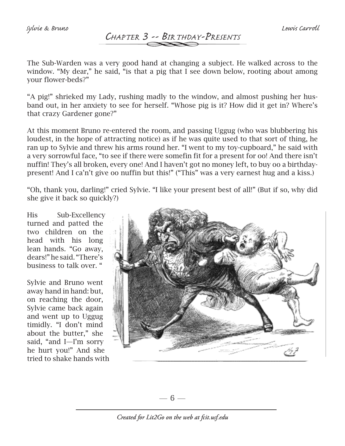# *Chapter 3 -- Birthday-Presents*

The Sub-Warden was a very good hand at changing a subject. He walked across to the window. "My dear," he said, "is that a pig that I see down below, rooting about among your flower-beds?"

"A pig!" shrieked my Lady, rushing madly to the window, and almost pushing her husband out, in her anxiety to see for herself. "Whose pig is it? How did it get in? Where's that crazy Gardener gone?"

At this moment Bruno re-entered the room, and passing Uggug (who was blubbering his loudest, in the hope of attracting notice) as if he was quite used to that sort of thing, he ran up to Sylvie and threw his arms round her. "I went to my toy-cupboard," he said with a very sorrowful face, "to see if there were somefin fit for a present for oo! And there isn't nuffin! They's all broken, every one! And I haven't got no money left, to buy oo a birthdaypresent! And I ca'n't give oo nuffin but this!" ("This" was a very earnest hug and a kiss.)

"Oh, thank you, darling!" cried Sylvie. "I like your present best of all!" (But if so, why did she give it back so quickly?)

His Sub-Excellency turned and patted the two children on the head with his long lean hands. "Go away, dears!" he said. "There's business to talk over. "

Sylvie and Bruno went away hand in hand: but, on reaching the door, Sylvie came back again and went up to Uggug timidly. "I don't mind about the butter," she said, "and I—I'm sorry he hurt you!" And she tried to shake hands with



 $-6-$ 

*Created for Lit2Go on the web at fcit.usf.edu*